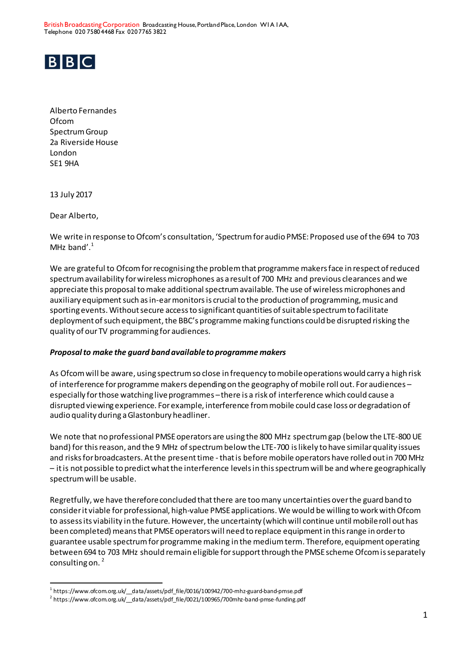British Broadcasting Corporation Broadcasting House, Portland Place, London W1A 1AA, Telephone 020 7580 4468 Fax 020 7765 3822



Alberto Fernandes Ofcom Spectrum Group 2a Riverside House London SE1 9HA

13 July 2017

Dear Alberto,

 $\overline{a}$ 

We write in response to Ofcom's consultation, 'Spectrum for audio PMSE: Proposed use of the 694 to 703 MHz band'. $1$ 

We are grateful to Ofcom for recognising the problem that programme makers face in respect of reduced spectrum availability for wireless microphones as a result of 700 MHz and previous clearances and we appreciate this proposal to make additional spectrum available. The use of wireless microphones and auxiliary equipment such as in-ear monitors is crucial to the production of programming, music and sporting events. Without secure access to significant quantities of suitable spectrum to facilitate deployment of such equipment, the BBC's programme making functions could be disrupted risking the quality of our TV programming for audiences.

## *Proposal to make the guard band available to programme makers*

As Ofcom will be aware, using spectrum so close in frequency to mobile operations would carry a high risk of interference for programme makers depending on the geography of mobile roll out. For audiences – especially forthose watching live programmes –there is a risk of interference which could cause a disrupted viewing experience. For example, interference from mobile could case loss or degradation of audio quality during a Glastonbury headliner.

We note that no professional PMSE operators are using the 800 MHz spectrum gap (below the LTE-800 UE band) for this reason, and the 9 MHz of spectrum below the LTE-700 is likely to have similar quality issues and risks for broadcasters. At the present time - that is before mobile operators have rolled out in 700 MHz – it is not possible to predict what the interference levels in this spectrum will be and where geographically spectrum will be usable.

Regretfully, we have therefore concluded that there are too many uncertainties over the guard band to consider it viable for professional, high-value PMSE applications. We would be willing to work with Ofcom to assess its viability in the future. However, the uncertainty (which will continue until mobile roll out has been completed) means that PMSEoperators will need to replace equipment in this range in order to guarantee usable spectrum for programme making in the medium term. Therefore, equipment operating between 694 to 703 MHz should remain eligible for support through the PMSE scheme Ofcom is separately consulting on.  $2$ 

<sup>&</sup>lt;sup>1</sup> https://www.ofcom.org.uk/\_\_data/assets/pdf\_file/0016/100942/700-mhz-guard-band-pmse.pdf

<sup>&</sup>lt;sup>2</sup> https://www.ofcom.org.uk/\_\_data/assets/pdf\_file/0021/100965/700mhz-band-pmse-funding.pdf